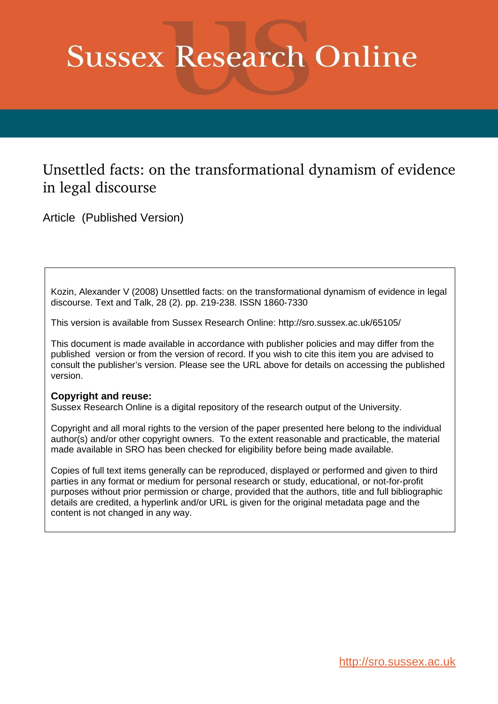# **Sussex Research Online**

# Unsettled facts: on the transformational dynamism of evidence in legal discourse

Article (Published Version)

Kozin, Alexander V (2008) Unsettled facts: on the transformational dynamism of evidence in legal discourse. Text and Talk, 28 (2). pp. 219-238. ISSN 1860-7330

This version is available from Sussex Research Online: http://sro.sussex.ac.uk/65105/

This document is made available in accordance with publisher policies and may differ from the published version or from the version of record. If you wish to cite this item you are advised to consult the publisher's version. Please see the URL above for details on accessing the published version.

### **Copyright and reuse:**

Sussex Research Online is a digital repository of the research output of the University.

Copyright and all moral rights to the version of the paper presented here belong to the individual author(s) and/or other copyright owners. To the extent reasonable and practicable, the material made available in SRO has been checked for eligibility before being made available.

Copies of full text items generally can be reproduced, displayed or performed and given to third parties in any format or medium for personal research or study, educational, or not-for-profit purposes without prior permission or charge, provided that the authors, title and full bibliographic details are credited, a hyperlink and/or URL is given for the original metadata page and the content is not changed in any way.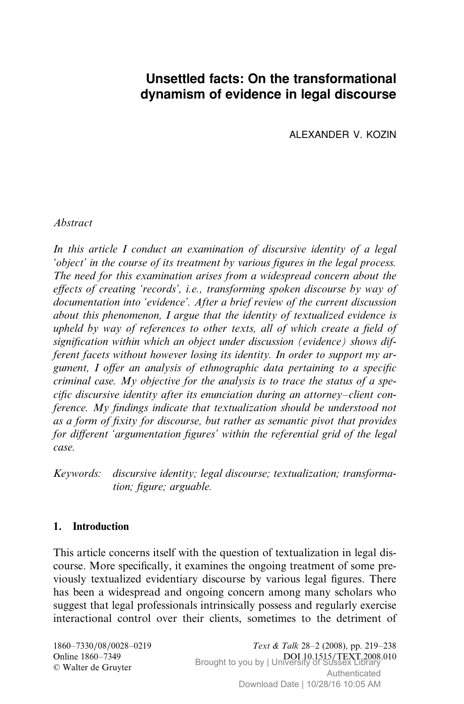## Unsettled facts: On the transformational dynamism of evidence in legal discourse

ALEXANDER V. KOZIN

#### Abstract

In this article I conduct an examination of discursive identity of a legal 'object' in the course of its treatment by various figures in the legal process. The need for this examination arises from a widespread concern about the effects of creating 'records', i.e., transforming spoken discourse by way of documentation into 'evidence'. After a brief review of the current discussion about this phenomenon, I argue that the identity of textualized evidence is upheld by way of references to other texts, all of which create a field of signification within which an object under discussion (evidence) shows different facets without however losing its identity. In order to support my argument,  $I$  offer an analysis of ethnographic data pertaining to a specific criminal case. My objective for the analysis is to trace the status of a specific discursive identity after its enunciation during an attorney–client conference. My findings indicate that textualization should be understood not as a form of fixity for discourse, but rather as semantic pivot that provides for different 'argumentation figures' within the referential grid of the legal case.

Keywords: discursive identity; legal discourse; textualization; transformation; figure; arguable.

#### 1. Introduction

This article concerns itself with the question of textualization in legal discourse. More specifically, it examines the ongoing treatment of some previously textualized evidentiary discourse by various legal figures. There has been a widespread and ongoing concern among many scholars who suggest that legal professionals intrinsically possess and regularly exercise interactional control over their clients, sometimes to the detriment of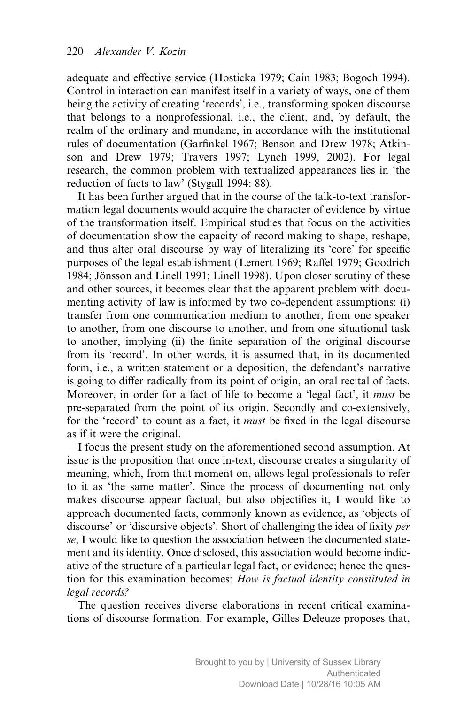adequate and effective service (Hosticka 1979; Cain 1983; Bogoch 1994). Control in interaction can manifest itself in a variety of ways, one of them being the activity of creating 'records', i.e., transforming spoken discourse that belongs to a nonprofessional, i.e., the client, and, by default, the realm of the ordinary and mundane, in accordance with the institutional rules of documentation (Garfinkel 1967; Benson and Drew 1978; Atkinson and Drew 1979; Travers 1997; Lynch 1999, 2002). For legal research, the common problem with textualized appearances lies in 'the reduction of facts to law' (Stygall 1994: 88).

It has been further argued that in the course of the talk-to-text transformation legal documents would acquire the character of evidence by virtue of the transformation itself. Empirical studies that focus on the activities of documentation show the capacity of record making to shape, reshape, and thus alter oral discourse by way of literalizing its 'core' for specific purposes of the legal establishment (Lemert 1969; Raffel 1979; Goodrich 1984; Jönsson and Linell 1991; Linell 1998). Upon closer scrutiny of these and other sources, it becomes clear that the apparent problem with documenting activity of law is informed by two co-dependent assumptions: (i) transfer from one communication medium to another, from one speaker to another, from one discourse to another, and from one situational task to another, implying (ii) the finite separation of the original discourse from its 'record'. In other words, it is assumed that, in its documented form, i.e., a written statement or a deposition, the defendant's narrative is going to differ radically from its point of origin, an oral recital of facts. Moreover, in order for a fact of life to become a 'legal fact', it must be pre-separated from the point of its origin. Secondly and co-extensively, for the 'record' to count as a fact, it must be fixed in the legal discourse as if it were the original.

I focus the present study on the aforementioned second assumption. At issue is the proposition that once in-text, discourse creates a singularity of meaning, which, from that moment on, allows legal professionals to refer to it as 'the same matter'. Since the process of documenting not only makes discourse appear factual, but also objectifies it, I would like to approach documented facts, commonly known as evidence, as 'objects of discourse' or 'discursive objects'. Short of challenging the idea of fixity per se, I would like to question the association between the documented statement and its identity. Once disclosed, this association would become indicative of the structure of a particular legal fact, or evidence; hence the question for this examination becomes: How is factual identity constituted in legal records?

The question receives diverse elaborations in recent critical examinations of discourse formation. For example, Gilles Deleuze proposes that,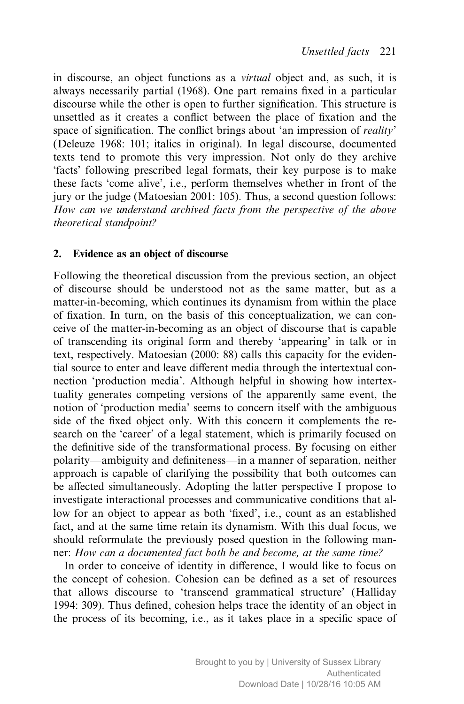in discourse, an object functions as a *virtual* object and, as such, it is always necessarily partial (1968). One part remains fixed in a particular discourse while the other is open to further signification. This structure is unsettled as it creates a conflict between the place of fixation and the space of signification. The conflict brings about 'an impression of *reality*' (Deleuze 1968: 101; italics in original). In legal discourse, documented texts tend to promote this very impression. Not only do they archive 'facts' following prescribed legal formats, their key purpose is to make these facts 'come alive', i.e., perform themselves whether in front of the jury or the judge (Matoesian 2001: 105). Thus, a second question follows: How can we understand archived facts from the perspective of the above theoretical standpoint?

#### 2. Evidence as an object of discourse

Following the theoretical discussion from the previous section, an object of discourse should be understood not as the same matter, but as a matter-in-becoming, which continues its dynamism from within the place of fixation. In turn, on the basis of this conceptualization, we can conceive of the matter-in-becoming as an object of discourse that is capable of transcending its original form and thereby 'appearing' in talk or in text, respectively. Matoesian (2000: 88) calls this capacity for the evidential source to enter and leave different media through the intertextual connection 'production media'. Although helpful in showing how intertextuality generates competing versions of the apparently same event, the notion of 'production media' seems to concern itself with the ambiguous side of the fixed object only. With this concern it complements the research on the 'career' of a legal statement, which is primarily focused on the definitive side of the transformational process. By focusing on either polarity—ambiguity and definiteness—in a manner of separation, neither approach is capable of clarifying the possibility that both outcomes can be affected simultaneously. Adopting the latter perspective I propose to investigate interactional processes and communicative conditions that allow for an object to appear as both 'fixed', i.e., count as an established fact, and at the same time retain its dynamism. With this dual focus, we should reformulate the previously posed question in the following manner: How can a documented fact both be and become, at the same time?

In order to conceive of identity in difference, I would like to focus on the concept of cohesion. Cohesion can be defined as a set of resources that allows discourse to 'transcend grammatical structure' (Halliday 1994: 309). Thus defined, cohesion helps trace the identity of an object in the process of its becoming, i.e., as it takes place in a specific space of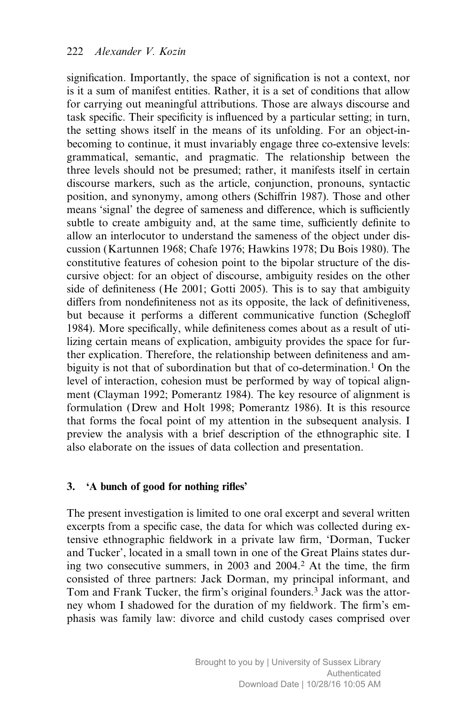signification. Importantly, the space of signification is not a context, nor is it a sum of manifest entities. Rather, it is a set of conditions that allow for carrying out meaningful attributions. Those are always discourse and task specific. Their specificity is influenced by a particular setting; in turn, the setting shows itself in the means of its unfolding. For an object-inbecoming to continue, it must invariably engage three co-extensive levels: grammatical, semantic, and pragmatic. The relationship between the three levels should not be presumed; rather, it manifests itself in certain discourse markers, such as the article, conjunction, pronouns, syntactic position, and synonymy, among others (Schiffrin 1987). Those and other means 'signal' the degree of sameness and difference, which is sufficiently subtle to create ambiguity and, at the same time, sufficiently definite to allow an interlocutor to understand the sameness of the object under discussion (Kartunnen 1968; Chafe 1976; Hawkins 1978; Du Bois 1980). The constitutive features of cohesion point to the bipolar structure of the discursive object: for an object of discourse, ambiguity resides on the other side of definiteness (He 2001; Gotti 2005). This is to say that ambiguity differs from nondefiniteness not as its opposite, the lack of definitiveness, but because it performs a different communicative function (Schegloff 1984). More specifically, while definiteness comes about as a result of utilizing certain means of explication, ambiguity provides the space for further explication. Therefore, the relationship between definiteness and ambiguity is not that of subordination but that of co-determination.<sup>1</sup> On the level of interaction, cohesion must be performed by way of topical alignment (Clayman 1992; Pomerantz 1984). The key resource of alignment is formulation (Drew and Holt 1998; Pomerantz 1986). It is this resource that forms the focal point of my attention in the subsequent analysis. I preview the analysis with a brief description of the ethnographic site. I also elaborate on the issues of data collection and presentation.

#### 3. 'A bunch of good for nothing rifles'

The present investigation is limited to one oral excerpt and several written excerpts from a specific case, the data for which was collected during extensive ethnographic fieldwork in a private law firm, 'Dorman, Tucker and Tucker', located in a small town in one of the Great Plains states during two consecutive summers, in 2003 and 2004.<sup>2</sup> At the time, the firm consisted of three partners: Jack Dorman, my principal informant, and Tom and Frank Tucker, the firm's original founders.<sup>3</sup> Jack was the attorney whom I shadowed for the duration of my fieldwork. The firm's emphasis was family law: divorce and child custody cases comprised over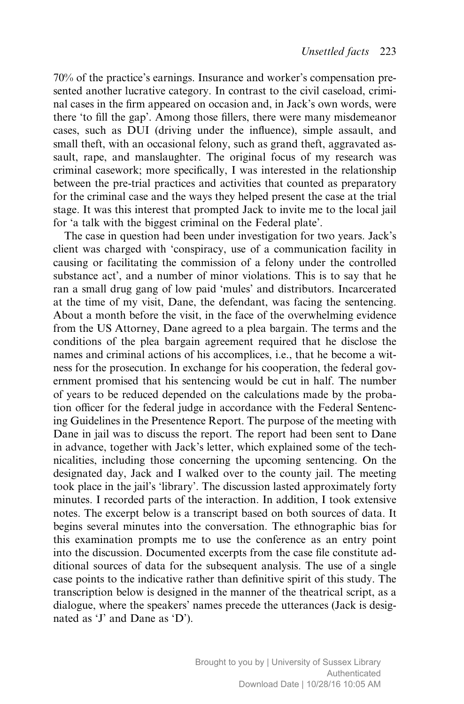70% of the practice's earnings. Insurance and worker's compensation presented another lucrative category. In contrast to the civil caseload, criminal cases in the firm appeared on occasion and, in Jack's own words, were there 'to fill the gap'. Among those fillers, there were many misdemeanor cases, such as DUI (driving under the influence), simple assault, and small theft, with an occasional felony, such as grand theft, aggravated assault, rape, and manslaughter. The original focus of my research was criminal casework; more specifically, I was interested in the relationship between the pre-trial practices and activities that counted as preparatory for the criminal case and the ways they helped present the case at the trial stage. It was this interest that prompted Jack to invite me to the local jail for 'a talk with the biggest criminal on the Federal plate'.

The case in question had been under investigation for two years. Jack's client was charged with 'conspiracy, use of a communication facility in causing or facilitating the commission of a felony under the controlled substance act', and a number of minor violations. This is to say that he ran a small drug gang of low paid 'mules' and distributors. Incarcerated at the time of my visit, Dane, the defendant, was facing the sentencing. About a month before the visit, in the face of the overwhelming evidence from the US Attorney, Dane agreed to a plea bargain. The terms and the conditions of the plea bargain agreement required that he disclose the names and criminal actions of his accomplices, i.e., that he become a witness for the prosecution. In exchange for his cooperation, the federal government promised that his sentencing would be cut in half. The number of years to be reduced depended on the calculations made by the probation officer for the federal judge in accordance with the Federal Sentencing Guidelines in the Presentence Report. The purpose of the meeting with Dane in jail was to discuss the report. The report had been sent to Dane in advance, together with Jack's letter, which explained some of the technicalities, including those concerning the upcoming sentencing. On the designated day, Jack and I walked over to the county jail. The meeting took place in the jail's 'library'. The discussion lasted approximately forty minutes. I recorded parts of the interaction. In addition, I took extensive notes. The excerpt below is a transcript based on both sources of data. It begins several minutes into the conversation. The ethnographic bias for this examination prompts me to use the conference as an entry point into the discussion. Documented excerpts from the case file constitute additional sources of data for the subsequent analysis. The use of a single case points to the indicative rather than definitive spirit of this study. The transcription below is designed in the manner of the theatrical script, as a dialogue, where the speakers' names precede the utterances (Jack is designated as 'J' and Dane as 'D').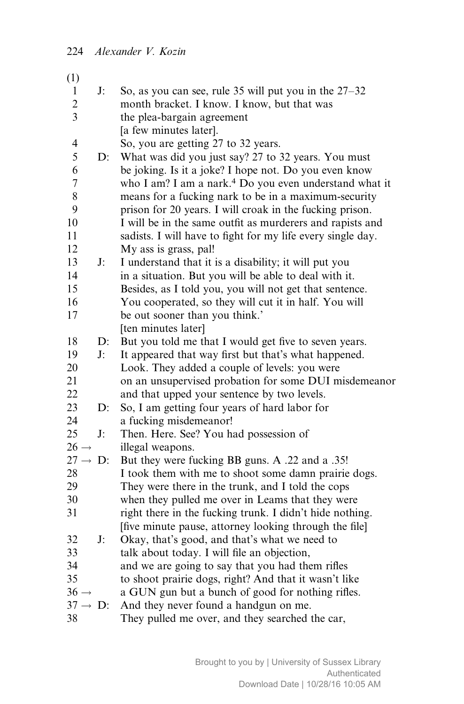| (1)                  |                |                                                                    |
|----------------------|----------------|--------------------------------------------------------------------|
| 1                    | $\mathbf{J}$ : | So, as you can see, rule 35 will put you in the 27–32              |
| $\overline{c}$       |                | month bracket. I know. I know, but that was                        |
| 3                    |                | the plea-bargain agreement                                         |
|                      |                | [a few minutes later].                                             |
| $\overline{4}$       |                | So, you are getting 27 to 32 years.                                |
| 5                    | $D$ :          | What was did you just say? 27 to 32 years. You must                |
| 6                    |                | be joking. Is it a joke? I hope not. Do you even know              |
| $\overline{7}$       |                | who I am? I am a nark. <sup>4</sup> Do you even understand what it |
| 8                    |                | means for a fucking nark to be in a maximum-security               |
| 9                    |                | prison for 20 years. I will croak in the fucking prison.           |
| 10                   |                | I will be in the same outfit as murderers and rapists and          |
| 11                   |                | sadists. I will have to fight for my life every single day.        |
| 12                   |                | My ass is grass, pal!                                              |
| 13                   | J:             | I understand that it is a disability; it will put you              |
| 14                   |                | in a situation. But you will be able to deal with it.              |
| 15                   |                | Besides, as I told you, you will not get that sentence.            |
| 16                   |                | You cooperated, so they will cut it in half. You will              |
| 17                   |                | be out sooner than you think.'                                     |
|                      |                | [ten minutes later]                                                |
| 18                   | D:             | But you told me that I would get five to seven years.              |
| 19                   | J:             | It appeared that way first but that's what happened.               |
| 20                   |                | Look. They added a couple of levels: you were                      |
| 21                   |                | on an unsupervised probation for some DUI misdemeanor              |
| 22                   |                | and that upped your sentence by two levels.                        |
| 23                   | D:             | So, I am getting four years of hard labor for                      |
| 24                   |                | a fucking misdemeanor!                                             |
| 25                   | J:             | Then. Here. See? You had possession of                             |
| $26 \rightarrow$     |                | illegal weapons.                                                   |
| $27 \rightarrow$     | D:             | But they were fucking BB guns. A .22 and a .35!                    |
| 28                   |                | I took them with me to shoot some damn prairie dogs.               |
| 29                   |                | They were there in the trunk, and I told the cops                  |
| 30                   |                | when they pulled me over in Leams that they were                   |
| 31                   |                | right there in the fucking trunk. I didn't hide nothing.           |
|                      |                | [five minute pause, attorney looking through the file]             |
| 32                   | J:             | Okay, that's good, and that's what we need to                      |
| 33                   |                | talk about today. I will file an objection,                        |
| 34                   |                | and we are going to say that you had them rifles                   |
| 35                   |                | to shoot prairie dogs, right? And that it wasn't like              |
| $36 \rightarrow$     |                | a GUN gun but a bunch of good for nothing rifles.                  |
| $37 \rightarrow D$ : |                | And they never found a handgun on me.                              |
| 38                   |                | They pulled me over, and they searched the car,                    |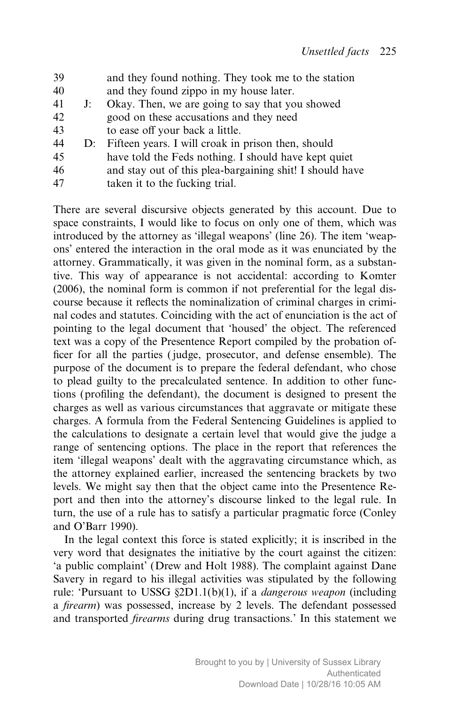| 39<br>40 |       | and they found nothing. They took me to the station<br>and they found zippo in my house later. |
|----------|-------|------------------------------------------------------------------------------------------------|
| 41       | J:    | Okay. Then, we are going to say that you showed                                                |
| 42       |       | good on these accusations and they need                                                        |
| 43       |       | to ease off your back a little.                                                                |
| 44       | $D$ : | Fifteen years. I will croak in prison then, should                                             |
| 45       |       | have told the Feds nothing. I should have kept quiet                                           |
| 46       |       | and stay out of this plea-bargaining shit! I should have                                       |
| 47       |       | taken it to the fucking trial.                                                                 |

There are several discursive objects generated by this account. Due to space constraints, I would like to focus on only one of them, which was introduced by the attorney as 'illegal weapons' (line 26). The item 'weapons' entered the interaction in the oral mode as it was enunciated by the attorney. Grammatically, it was given in the nominal form, as a substantive. This way of appearance is not accidental: according to Komter (2006), the nominal form is common if not preferential for the legal discourse because it reflects the nominalization of criminal charges in criminal codes and statutes. Coinciding with the act of enunciation is the act of pointing to the legal document that 'housed' the object. The referenced text was a copy of the Presentence Report compiled by the probation officer for all the parties ( judge, prosecutor, and defense ensemble). The purpose of the document is to prepare the federal defendant, who chose to plead guilty to the precalculated sentence. In addition to other functions (profiling the defendant), the document is designed to present the charges as well as various circumstances that aggravate or mitigate these charges. A formula from the Federal Sentencing Guidelines is applied to the calculations to designate a certain level that would give the judge a range of sentencing options. The place in the report that references the item 'illegal weapons' dealt with the aggravating circumstance which, as the attorney explained earlier, increased the sentencing brackets by two levels. We might say then that the object came into the Presentence Report and then into the attorney's discourse linked to the legal rule. In turn, the use of a rule has to satisfy a particular pragmatic force (Conley and O'Barr 1990).

In the legal context this force is stated explicitly; it is inscribed in the very word that designates the initiative by the court against the citizen: 'a public complaint' (Drew and Holt 1988). The complaint against Dane Savery in regard to his illegal activities was stipulated by the following rule: 'Pursuant to USSG §2D1.1(b)(1), if a dangerous weapon (including a firearm) was possessed, increase by 2 levels. The defendant possessed and transported firearms during drug transactions.' In this statement we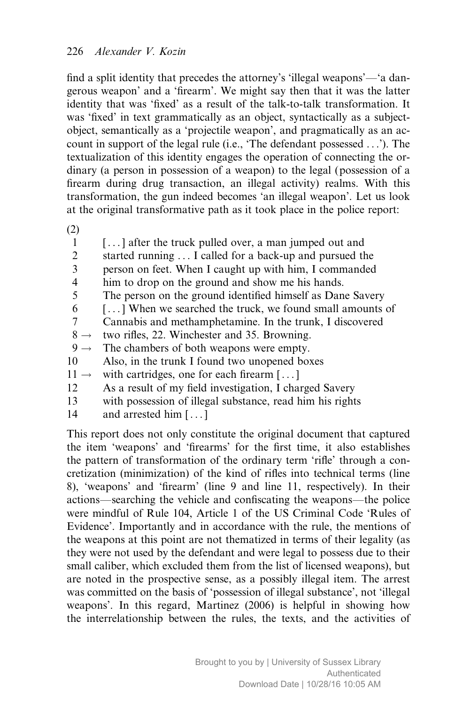find a split identity that precedes the attorney's 'illegal weapons'—'a dangerous weapon' and a 'firearm'. We might say then that it was the latter identity that was 'fixed' as a result of the talk-to-talk transformation. It was 'fixed' in text grammatically as an object, syntactically as a subjectobject, semantically as a 'projectile weapon', and pragmatically as an account in support of the legal rule (i.e., 'The defendant possessed . . .'). The textualization of this identity engages the operation of connecting the ordinary (a person in possession of a weapon) to the legal (possession of a firearm during drug transaction, an illegal activity) realms. With this transformation, the gun indeed becomes 'an illegal weapon'. Let us look at the original transformative path as it took place in the police report:

(2)

| 1                | $\lceil \dots \rceil$ after the truck pulled over, a man jumped out and |
|------------------|-------------------------------------------------------------------------|
|                  | started running  I called for a back-up and pursued the                 |
| 3                | person on feet. When I caught up with him, I commanded                  |
| 4                | him to drop on the ground and show me his hands.                        |
| 5                | The person on the ground identified himself as Dane Savery              |
| 6                | [] When we searched the truck, we found small amounts of                |
| 7                | Cannabis and methamphetamine. In the trunk, I discovered                |
| $8 \rightarrow$  | two rifles, 22. Winchester and 35. Browning.                            |
| $9 \rightarrow$  | The chambers of both weapons were empty.                                |
| 10               | Also, in the trunk I found two unopened boxes                           |
| $11 \rightarrow$ | with cartridges, one for each firearm $[\dots]$                         |
| 12               | As a result of my field investigation, I charged Savery                 |
| 13               | with possession of illegal substance, read him his rights               |
| 14               | and arrested him $[\dots]$                                              |
|                  |                                                                         |

This report does not only constitute the original document that captured the item 'weapons' and 'firearms' for the first time, it also establishes the pattern of transformation of the ordinary term 'rifle' through a concretization (minimization) of the kind of rifles into technical terms (line 8), 'weapons' and 'firearm' (line 9 and line 11, respectively). In their actions—searching the vehicle and confiscating the weapons—the police were mindful of Rule 104, Article 1 of the US Criminal Code 'Rules of Evidence'. Importantly and in accordance with the rule, the mentions of the weapons at this point are not thematized in terms of their legality (as they were not used by the defendant and were legal to possess due to their small caliber, which excluded them from the list of licensed weapons), but are noted in the prospective sense, as a possibly illegal item. The arrest was committed on the basis of 'possession of illegal substance', not 'illegal weapons'. In this regard, Martinez (2006) is helpful in showing how the interrelationship between the rules, the texts, and the activities of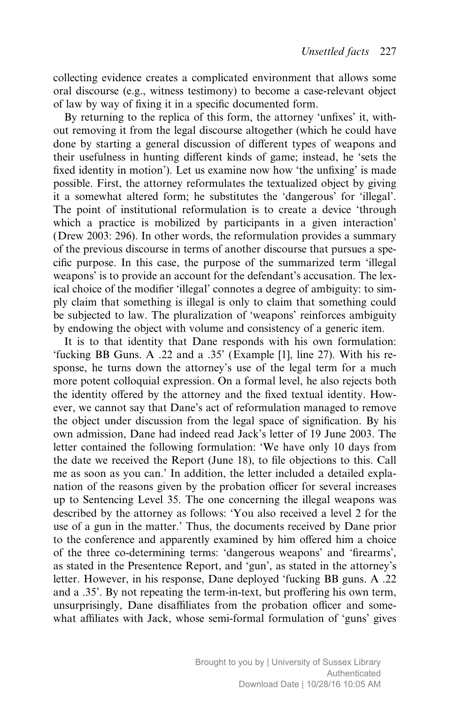collecting evidence creates a complicated environment that allows some oral discourse (e.g., witness testimony) to become a case-relevant object of law by way of fixing it in a specific documented form.

By returning to the replica of this form, the attorney 'unfixes' it, without removing it from the legal discourse altogether (which he could have done by starting a general discussion of different types of weapons and their usefulness in hunting different kinds of game; instead, he 'sets the fixed identity in motion'). Let us examine now how 'the unfixing' is made possible. First, the attorney reformulates the textualized object by giving it a somewhat altered form; he substitutes the 'dangerous' for 'illegal'. The point of institutional reformulation is to create a device 'through which a practice is mobilized by participants in a given interaction' (Drew 2003: 296). In other words, the reformulation provides a summary of the previous discourse in terms of another discourse that pursues a specific purpose. In this case, the purpose of the summarized term 'illegal weapons' is to provide an account for the defendant's accusation. The lexical choice of the modifier 'illegal' connotes a degree of ambiguity: to simply claim that something is illegal is only to claim that something could be subjected to law. The pluralization of 'weapons' reinforces ambiguity by endowing the object with volume and consistency of a generic item.

It is to that identity that Dane responds with his own formulation: 'fucking BB Guns. A .22 and a .35' (Example [1], line 27). With his response, he turns down the attorney's use of the legal term for a much more potent colloquial expression. On a formal level, he also rejects both the identity offered by the attorney and the fixed textual identity. However, we cannot say that Dane's act of reformulation managed to remove the object under discussion from the legal space of signification. By his own admission, Dane had indeed read Jack's letter of 19 June 2003. The letter contained the following formulation: 'We have only 10 days from the date we received the Report (June 18), to file objections to this. Call me as soon as you can.' In addition, the letter included a detailed explanation of the reasons given by the probation officer for several increases up to Sentencing Level 35. The one concerning the illegal weapons was described by the attorney as follows: 'You also received a level 2 for the use of a gun in the matter.' Thus, the documents received by Dane prior to the conference and apparently examined by him offered him a choice of the three co-determining terms: 'dangerous weapons' and 'firearms', as stated in the Presentence Report, and 'gun', as stated in the attorney's letter. However, in his response, Dane deployed 'fucking BB guns. A .22 and a  $.35'$ . By not repeating the term-in-text, but proffering his own term, unsurprisingly. Dane disaffiliates from the probation officer and somewhat affiliates with Jack, whose semi-formal formulation of 'guns' gives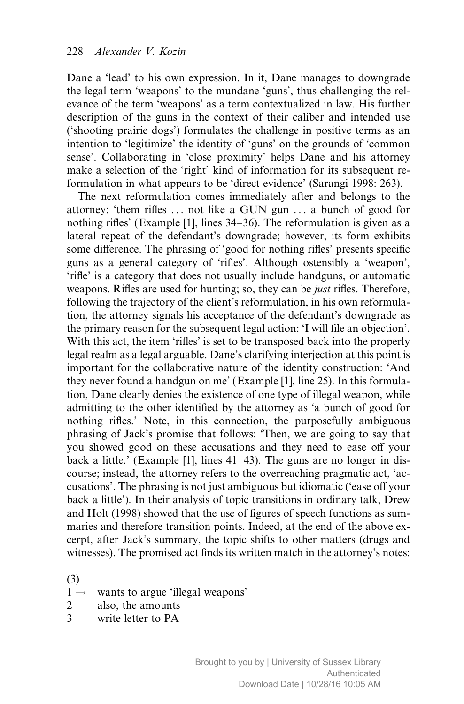Dane a 'lead' to his own expression. In it, Dane manages to downgrade the legal term 'weapons' to the mundane 'guns', thus challenging the relevance of the term 'weapons' as a term contextualized in law. His further description of the guns in the context of their caliber and intended use ('shooting prairie dogs') formulates the challenge in positive terms as an intention to 'legitimize' the identity of 'guns' on the grounds of 'common sense'. Collaborating in 'close proximity' helps Dane and his attorney make a selection of the 'right' kind of information for its subsequent reformulation in what appears to be 'direct evidence' (Sarangi 1998: 263).

The next reformulation comes immediately after and belongs to the attorney: 'them rifles ... not like a GUN gun ... a bunch of good for nothing rifles' (Example [1], lines 34–36). The reformulation is given as a lateral repeat of the defendant's downgrade; however, its form exhibits some difference. The phrasing of 'good for nothing rifles' presents specific guns as a general category of 'rifles'. Although ostensibly a 'weapon', 'rifle' is a category that does not usually include handguns, or automatic weapons. Rifles are used for hunting; so, they can be just rifles. Therefore, following the trajectory of the client's reformulation, in his own reformulation, the attorney signals his acceptance of the defendant's downgrade as the primary reason for the subsequent legal action: 'I will file an objection'. With this act, the item 'rifles' is set to be transposed back into the properly legal realm as a legal arguable. Dane's clarifying interjection at this point is important for the collaborative nature of the identity construction: 'And they never found a handgun on me' (Example [1], line 25). In this formulation, Dane clearly denies the existence of one type of illegal weapon, while admitting to the other identified by the attorney as 'a bunch of good for nothing rifles.' Note, in this connection, the purposefully ambiguous phrasing of Jack's promise that follows: 'Then, we are going to say that you showed good on these accusations and they need to ease off your back a little.' (Example [1], lines 41–43). The guns are no longer in discourse; instead, the attorney refers to the overreaching pragmatic act, 'accusations'. The phrasing is not just ambiguous but idiomatic ('ease off your back a little'). In their analysis of topic transitions in ordinary talk, Drew and Holt (1998) showed that the use of figures of speech functions as summaries and therefore transition points. Indeed, at the end of the above excerpt, after Jack's summary, the topic shifts to other matters (drugs and witnesses). The promised act finds its written match in the attorney's notes:

(3)

- $1 \rightarrow$  wants to argue 'illegal weapons'
- 2 also, the amounts
- 3 write letter to PA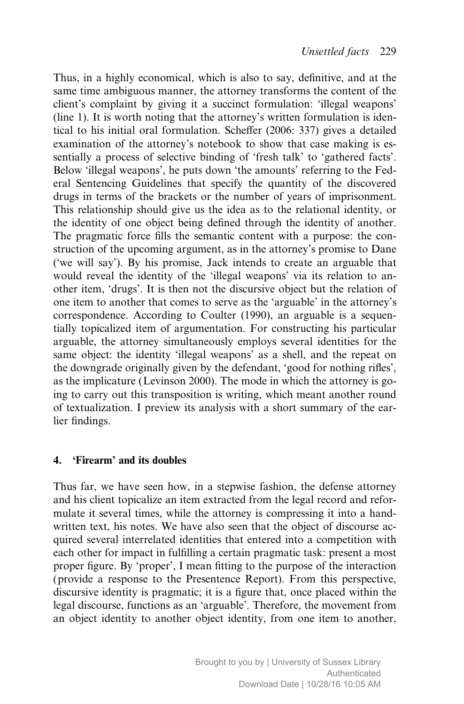Thus, in a highly economical, which is also to say, definitive, and at the same time ambiguous manner, the attorney transforms the content of the client's complaint by giving it a succinct formulation: 'illegal weapons' (line 1). It is worth noting that the attorney's written formulation is identical to his initial oral formulation. Scheffer  $(2006: 337)$  gives a detailed examination of the attorney's notebook to show that case making is essentially a process of selective binding of 'fresh talk' to 'gathered facts'. Below 'illegal weapons', he puts down 'the amounts' referring to the Federal Sentencing Guidelines that specify the quantity of the discovered drugs in terms of the brackets or the number of years of imprisonment. This relationship should give us the idea as to the relational identity, or the identity of one object being defined through the identity of another. The pragmatic force fills the semantic content with a purpose: the construction of the upcoming argument, as in the attorney's promise to Dane ('we will say'). By his promise, Jack intends to create an arguable that would reveal the identity of the 'illegal weapons' via its relation to another item, 'drugs'. It is then not the discursive object but the relation of one item to another that comes to serve as the 'arguable' in the attorney's correspondence. According to Coulter (1990), an arguable is a sequentially topicalized item of argumentation. For constructing his particular arguable, the attorney simultaneously employs several identities for the same object: the identity 'illegal weapons' as a shell, and the repeat on the downgrade originally given by the defendant, 'good for nothing rifles', as the implicature (Levinson 2000). The mode in which the attorney is going to carry out this transposition is writing, which meant another round of textualization. I preview its analysis with a short summary of the earlier findings.

#### 4. 'Firearm' and its doubles

Thus far, we have seen how, in a stepwise fashion, the defense attorney and his client topicalize an item extracted from the legal record and reformulate it several times, while the attorney is compressing it into a handwritten text, his notes. We have also seen that the object of discourse acquired several interrelated identities that entered into a competition with each other for impact in fulfilling a certain pragmatic task: present a most proper figure. By 'proper', I mean fitting to the purpose of the interaction (provide a response to the Presentence Report). From this perspective, discursive identity is pragmatic; it is a figure that, once placed within the legal discourse, functions as an 'arguable'. Therefore, the movement from an object identity to another object identity, from one item to another,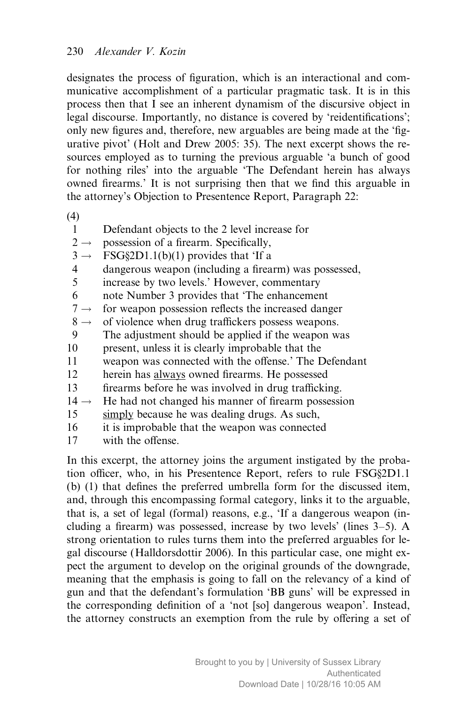designates the process of figuration, which is an interactional and communicative accomplishment of a particular pragmatic task. It is in this process then that I see an inherent dynamism of the discursive object in legal discourse. Importantly, no distance is covered by 'reidentifications'; only new figures and, therefore, new arguables are being made at the 'figurative pivot' (Holt and Drew 2005: 35). The next excerpt shows the resources employed as to turning the previous arguable 'a bunch of good for nothing riles' into the arguable 'The Defendant herein has always owned firearms.' It is not surprising then that we find this arguable in the attorney's Objection to Presentence Report, Paragraph 22:

(4)

- 1 Defendant objects to the 2 level increase for
- $2 \rightarrow$  possession of a firearm. Specifically,
- $3 \rightarrow$  FSG§2D1.1(b)(1) provides that 'If a
- 4 dangerous weapon (including a firearm) was possessed,
- 5 increase by two levels.' However, commentary
- 6 note Number 3 provides that 'The enhancement
- $7 \rightarrow$  for weapon possession reflects the increased danger
- $8 \rightarrow$  of violence when drug traffickers possess weapons.
- 9 The adjustment should be applied if the weapon was
- 10 present, unless it is clearly improbable that the
- 11 weapon was connected with the offense.' The Defendant
- 12 herein has always owned firearms. He possessed
- 13 firearms before he was involved in drug trafficking.
- $14 \rightarrow$  He had not changed his manner of firearm possession
- 15 simply because he was dealing drugs. As such,
- 16 it is improbable that the weapon was connected
- 17 with the offense.

In this excerpt, the attorney joins the argument instigated by the probation officer, who, in his Presentence Report, refers to rule FSG§2D1.1 (b) (1) that defines the preferred umbrella form for the discussed item, and, through this encompassing formal category, links it to the arguable, that is, a set of legal (formal) reasons, e.g., 'If a dangerous weapon (including a firearm) was possessed, increase by two levels' (lines 3–5). A strong orientation to rules turns them into the preferred arguables for legal discourse (Halldorsdottir 2006). In this particular case, one might expect the argument to develop on the original grounds of the downgrade, meaning that the emphasis is going to fall on the relevancy of a kind of gun and that the defendant's formulation 'BB guns' will be expressed in the corresponding definition of a 'not [so] dangerous weapon'. Instead, the attorney constructs an exemption from the rule by offering a set of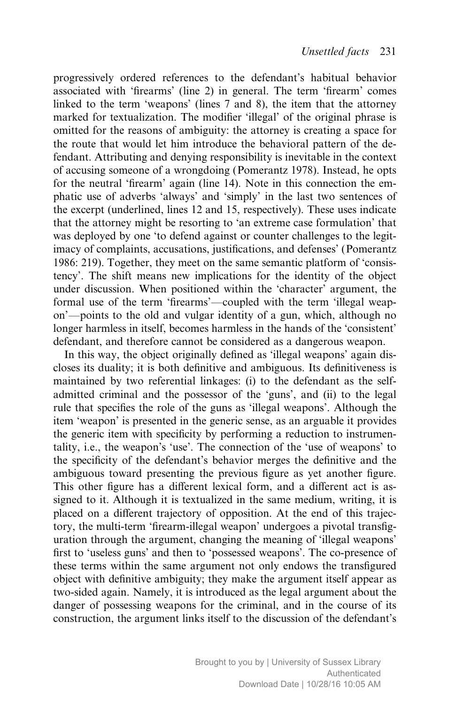progressively ordered references to the defendant's habitual behavior associated with 'firearms' (line 2) in general. The term 'firearm' comes linked to the term 'weapons' (lines 7 and 8), the item that the attorney marked for textualization. The modifier 'illegal' of the original phrase is omitted for the reasons of ambiguity: the attorney is creating a space for the route that would let him introduce the behavioral pattern of the defendant. Attributing and denying responsibility is inevitable in the context of accusing someone of a wrongdoing (Pomerantz 1978). Instead, he opts for the neutral 'firearm' again (line 14). Note in this connection the emphatic use of adverbs 'always' and 'simply' in the last two sentences of the excerpt (underlined, lines 12 and 15, respectively). These uses indicate that the attorney might be resorting to 'an extreme case formulation' that was deployed by one 'to defend against or counter challenges to the legitimacy of complaints, accusations, justifications, and defenses' (Pomerantz 1986: 219). Together, they meet on the same semantic platform of 'consistency'. The shift means new implications for the identity of the object under discussion. When positioned within the 'character' argument, the formal use of the term 'firearms'—coupled with the term 'illegal weapon'—points to the old and vulgar identity of a gun, which, although no longer harmless in itself, becomes harmless in the hands of the 'consistent' defendant, and therefore cannot be considered as a dangerous weapon.

In this way, the object originally defined as 'illegal weapons' again discloses its duality; it is both definitive and ambiguous. Its definitiveness is maintained by two referential linkages: (i) to the defendant as the selfadmitted criminal and the possessor of the 'guns', and (ii) to the legal rule that specifies the role of the guns as 'illegal weapons'. Although the item 'weapon' is presented in the generic sense, as an arguable it provides the generic item with specificity by performing a reduction to instrumentality, i.e., the weapon's 'use'. The connection of the 'use of weapons' to the specificity of the defendant's behavior merges the definitive and the ambiguous toward presenting the previous figure as yet another figure. This other figure has a different lexical form, and a different act is assigned to it. Although it is textualized in the same medium, writing, it is placed on a different trajectory of opposition. At the end of this trajectory, the multi-term 'firearm-illegal weapon' undergoes a pivotal transfiguration through the argument, changing the meaning of 'illegal weapons' first to 'useless guns' and then to 'possessed weapons'. The co-presence of these terms within the same argument not only endows the transfigured object with definitive ambiguity; they make the argument itself appear as two-sided again. Namely, it is introduced as the legal argument about the danger of possessing weapons for the criminal, and in the course of its construction, the argument links itself to the discussion of the defendant's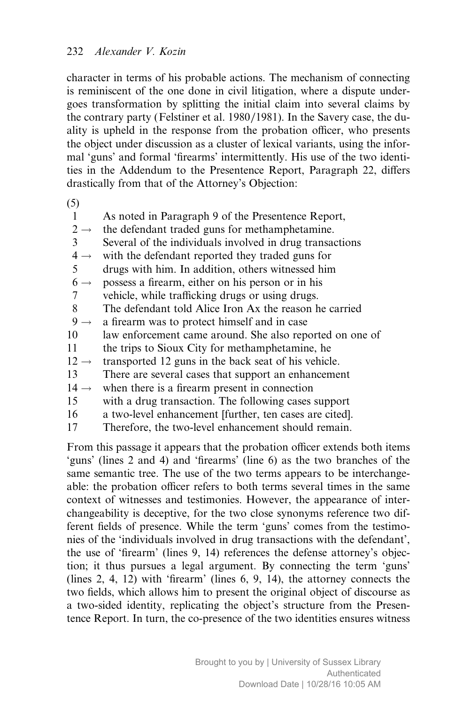character in terms of his probable actions. The mechanism of connecting is reminiscent of the one done in civil litigation, where a dispute undergoes transformation by splitting the initial claim into several claims by the contrary party (Felstiner et al. 1980/1981). In the Savery case, the duality is upheld in the response from the probation officer, who presents the object under discussion as a cluster of lexical variants, using the informal 'guns' and formal 'firearms' intermittently. His use of the two identities in the Addendum to the Presentence Report, Paragraph 22, differs drastically from that of the Attorney's Objection:

 $(5)$ 

|                        | As noted in Paragraph 9 of the Presentence Report,       |
|------------------------|----------------------------------------------------------|
| $2 \rightarrow$        | the defendant traded guns for methamphetamine.           |
| 3                      | Several of the individuals involved in drug transactions |
| $4 \rightarrow$        | with the defendant reported they traded guns for         |
| 5                      | drugs with him. In addition, others witnessed him        |
| $6 \rightarrow$        | possess a firearm, either on his person or in his        |
| 7                      | vehicle, while trafficking drugs or using drugs.         |
| 8                      | The defendant told Alice Iron Ax the reason he carried   |
| 9<br>$\longrightarrow$ | a firearm was to protect himself and in case             |
| 10                     | law enforcement came around. She also reported on one of |
| 11                     | the trips to Sioux City for methamphetamine, he          |
| $12 \rightarrow$       | transported 12 guns in the back seat of his vehicle.     |
| 13                     | There are several cases that support an enhancement      |
| $14 \rightarrow$       | when there is a firearm present in connection            |
| 15                     | with a drug transaction. The following cases support     |
| 16                     | a two-level enhancement [further, ten cases are cited].  |
| 17                     | Therefore, the two-level enhancement should remain.      |
|                        |                                                          |

From this passage it appears that the probation officer extends both items 'guns' (lines 2 and 4) and 'firearms' (line 6) as the two branches of the same semantic tree. The use of the two terms appears to be interchangeable: the probation officer refers to both terms several times in the same context of witnesses and testimonies. However, the appearance of interchangeability is deceptive, for the two close synonyms reference two different fields of presence. While the term 'guns' comes from the testimonies of the 'individuals involved in drug transactions with the defendant', the use of 'firearm' (lines 9, 14) references the defense attorney's objection; it thus pursues a legal argument. By connecting the term 'guns' (lines 2, 4, 12) with 'firearm' (lines 6, 9, 14), the attorney connects the two fields, which allows him to present the original object of discourse as a two-sided identity, replicating the object's structure from the Presentence Report. In turn, the co-presence of the two identities ensures witness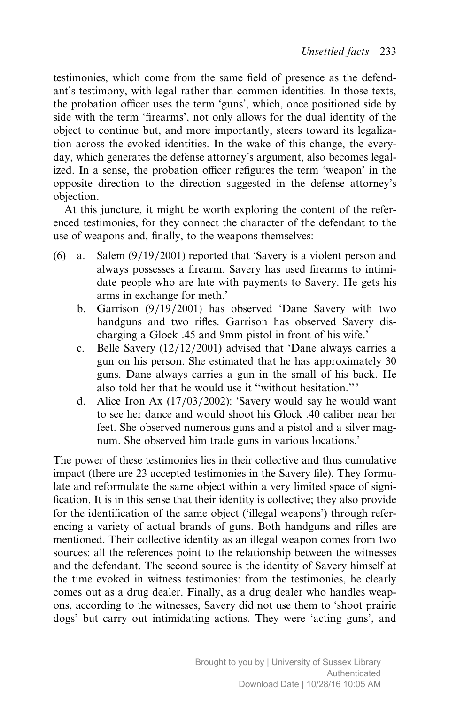testimonies, which come from the same field of presence as the defendant's testimony, with legal rather than common identities. In those texts, the probation officer uses the term 'guns', which, once positioned side by side with the term 'firearms', not only allows for the dual identity of the object to continue but, and more importantly, steers toward its legalization across the evoked identities. In the wake of this change, the everyday, which generates the defense attorney's argument, also becomes legalized. In a sense, the probation officer refigures the term 'weapon' in the opposite direction to the direction suggested in the defense attorney's objection.

At this juncture, it might be worth exploring the content of the referenced testimonies, for they connect the character of the defendant to the use of weapons and, finally, to the weapons themselves:

- (6) a. Salem (9/19/2001) reported that 'Savery is a violent person and always possesses a firearm. Savery has used firearms to intimidate people who are late with payments to Savery. He gets his arms in exchange for meth.'
	- b. Garrison (9/19/2001) has observed 'Dane Savery with two handguns and two rifles. Garrison has observed Savery discharging a Glock .45 and 9mm pistol in front of his wife.'
	- c. Belle Savery (12/12/2001) advised that 'Dane always carries a gun on his person. She estimated that he has approximately 30 guns. Dane always carries a gun in the small of his back. He also told her that he would use it ''without hesitation.'''
	- d. Alice Iron Ax (17/03/2002): 'Savery would say he would want to see her dance and would shoot his Glock .40 caliber near her feet. She observed numerous guns and a pistol and a silver magnum. She observed him trade guns in various locations.'

The power of these testimonies lies in their collective and thus cumulative impact (there are 23 accepted testimonies in the Savery file). They formulate and reformulate the same object within a very limited space of signification. It is in this sense that their identity is collective; they also provide for the identification of the same object ('illegal weapons') through referencing a variety of actual brands of guns. Both handguns and rifles are mentioned. Their collective identity as an illegal weapon comes from two sources: all the references point to the relationship between the witnesses and the defendant. The second source is the identity of Savery himself at the time evoked in witness testimonies: from the testimonies, he clearly comes out as a drug dealer. Finally, as a drug dealer who handles weapons, according to the witnesses, Savery did not use them to 'shoot prairie dogs' but carry out intimidating actions. They were 'acting guns', and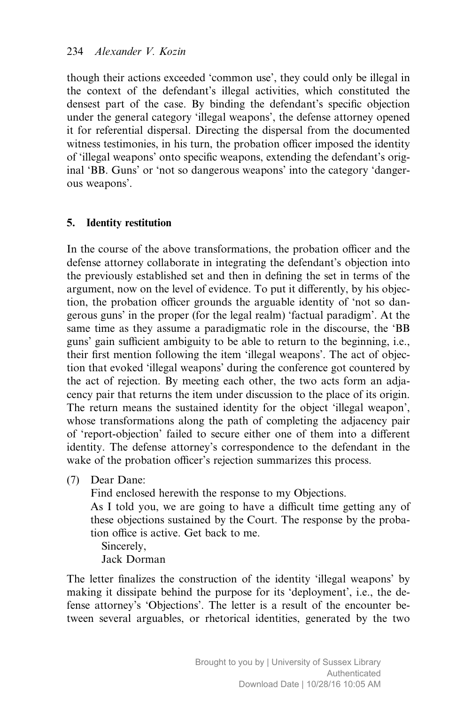though their actions exceeded 'common use', they could only be illegal in the context of the defendant's illegal activities, which constituted the densest part of the case. By binding the defendant's specific objection under the general category 'illegal weapons', the defense attorney opened it for referential dispersal. Directing the dispersal from the documented witness testimonies, in his turn, the probation officer imposed the identity of 'illegal weapons' onto specific weapons, extending the defendant's original 'BB. Guns' or 'not so dangerous weapons' into the category 'dangerous weapons'.

#### 5. Identity restitution

In the course of the above transformations, the probation officer and the defense attorney collaborate in integrating the defendant's objection into the previously established set and then in defining the set in terms of the argument, now on the level of evidence. To put it differently, by his objection, the probation officer grounds the arguable identity of 'not so dangerous guns' in the proper (for the legal realm) 'factual paradigm'. At the same time as they assume a paradigmatic role in the discourse, the 'BB guns' gain sufficient ambiguity to be able to return to the beginning, i.e., their first mention following the item 'illegal weapons'. The act of objection that evoked 'illegal weapons' during the conference got countered by the act of rejection. By meeting each other, the two acts form an adjacency pair that returns the item under discussion to the place of its origin. The return means the sustained identity for the object 'illegal weapon', whose transformations along the path of completing the adjacency pair of 'report-objection' failed to secure either one of them into a different identity. The defense attorney's correspondence to the defendant in the wake of the probation officer's rejection summarizes this process.

(7) Dear Dane:

Find enclosed herewith the response to my Objections.

As I told you, we are going to have a difficult time getting any of these objections sustained by the Court. The response by the probation office is active. Get back to me.

Sincerely, Jack Dorman

The letter finalizes the construction of the identity 'illegal weapons' by making it dissipate behind the purpose for its 'deployment', i.e., the defense attorney's 'Objections'. The letter is a result of the encounter between several arguables, or rhetorical identities, generated by the two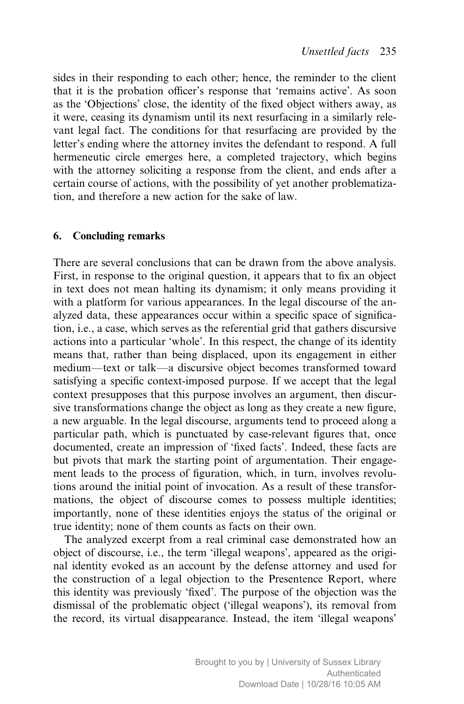sides in their responding to each other; hence, the reminder to the client that it is the probation officer's response that 'remains active'. As soon as the 'Objections' close, the identity of the fixed object withers away, as it were, ceasing its dynamism until its next resurfacing in a similarly relevant legal fact. The conditions for that resurfacing are provided by the letter's ending where the attorney invites the defendant to respond. A full hermeneutic circle emerges here, a completed trajectory, which begins with the attorney soliciting a response from the client, and ends after a certain course of actions, with the possibility of yet another problematization, and therefore a new action for the sake of law.

#### 6. Concluding remarks

There are several conclusions that can be drawn from the above analysis. First, in response to the original question, it appears that to fix an object in text does not mean halting its dynamism; it only means providing it with a platform for various appearances. In the legal discourse of the analyzed data, these appearances occur within a specific space of signification, i.e., a case, which serves as the referential grid that gathers discursive actions into a particular 'whole'. In this respect, the change of its identity means that, rather than being displaced, upon its engagement in either medium—text or talk—a discursive object becomes transformed toward satisfying a specific context-imposed purpose. If we accept that the legal context presupposes that this purpose involves an argument, then discursive transformations change the object as long as they create a new figure, a new arguable. In the legal discourse, arguments tend to proceed along a particular path, which is punctuated by case-relevant figures that, once documented, create an impression of 'fixed facts'. Indeed, these facts are but pivots that mark the starting point of argumentation. Their engagement leads to the process of figuration, which, in turn, involves revolutions around the initial point of invocation. As a result of these transformations, the object of discourse comes to possess multiple identities; importantly, none of these identities enjoys the status of the original or true identity; none of them counts as facts on their own.

The analyzed excerpt from a real criminal case demonstrated how an object of discourse, i.e., the term 'illegal weapons', appeared as the original identity evoked as an account by the defense attorney and used for the construction of a legal objection to the Presentence Report, where this identity was previously 'fixed'. The purpose of the objection was the dismissal of the problematic object ('illegal weapons'), its removal from the record, its virtual disappearance. Instead, the item 'illegal weapons'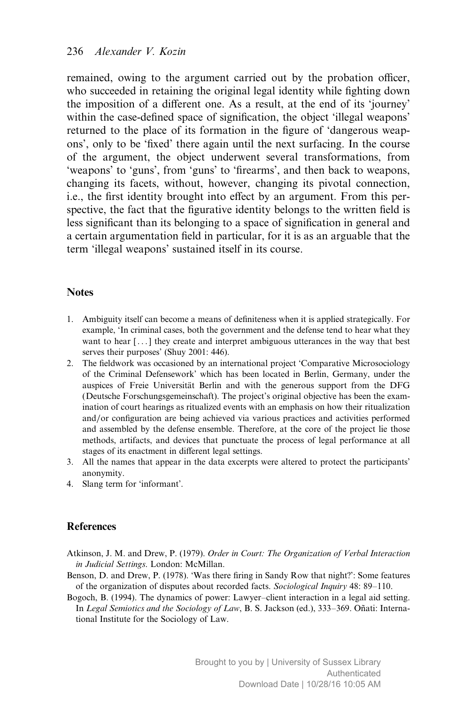remained, owing to the argument carried out by the probation officer, who succeeded in retaining the original legal identity while fighting down the imposition of a different one. As a result, at the end of its 'journey' within the case-defined space of signification, the object 'illegal weapons' returned to the place of its formation in the figure of 'dangerous weapons', only to be 'fixed' there again until the next surfacing. In the course of the argument, the object underwent several transformations, from 'weapons' to 'guns', from 'guns' to 'firearms', and then back to weapons, changing its facets, without, however, changing its pivotal connection, i.e., the first identity brought into effect by an argument. From this perspective, the fact that the figurative identity belongs to the written field is less significant than its belonging to a space of signification in general and a certain argumentation field in particular, for it is as an arguable that the term 'illegal weapons' sustained itself in its course.

#### **Notes**

- 1. Ambiguity itself can become a means of definiteness when it is applied strategically. For example, 'In criminal cases, both the government and the defense tend to hear what they want to hear  $[\,\ldots]$  they create and interpret ambiguous utterances in the way that best serves their purposes' (Shuy 2001: 446).
- 2. The fieldwork was occasioned by an international project 'Comparative Microsociology of the Criminal Defensework' which has been located in Berlin, Germany, under the auspices of Freie Universität Berlin and with the generous support from the DFG (Deutsche Forschungsgemeinschaft). The project's original objective has been the examination of court hearings as ritualized events with an emphasis on how their ritualization and/or configuration are being achieved via various practices and activities performed and assembled by the defense ensemble. Therefore, at the core of the project lie those methods, artifacts, and devices that punctuate the process of legal performance at all stages of its enactment in different legal settings.
- 3. All the names that appear in the data excerpts were altered to protect the participants' anonymity.
- 4. Slang term for 'informant'.

#### References

- Atkinson, J. M. and Drew, P. (1979). Order in Court: The Organization of Verbal Interaction in Judicial Settings. London: McMillan.
- Benson, D. and Drew, P. (1978). 'Was there firing in Sandy Row that night?': Some features of the organization of disputes about recorded facts. Sociological Inquiry 48: 89–110.
- Bogoch, B. (1994). The dynamics of power: Lawyer–client interaction in a legal aid setting. In Legal Semiotics and the Sociology of Law, B. S. Jackson (ed.), 333-369. Oñati: International Institute for the Sociology of Law.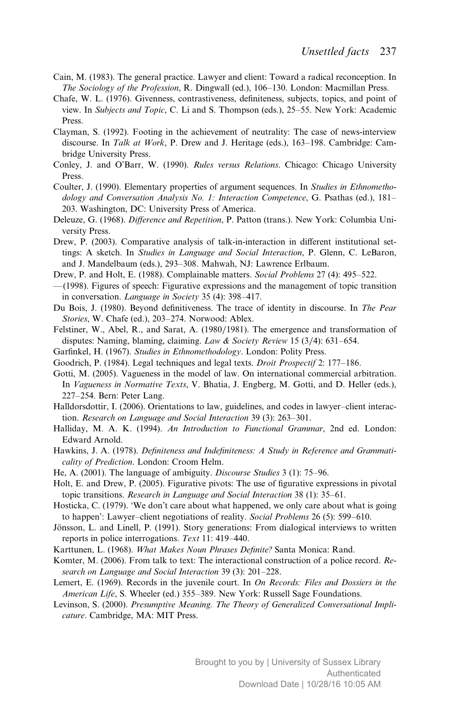- Cain, M. (1983). The general practice. Lawyer and client: Toward a radical reconception. In The Sociology of the Profession, R. Dingwall (ed.), 106–130. London: Macmillan Press.
- Chafe, W. L. (1976). Givenness, contrastiveness, definiteness, subjects, topics, and point of view. In Subjects and Topic, C. Li and S. Thompson (eds.), 25–55. New York: Academic Press.
- Clayman, S. (1992). Footing in the achievement of neutrality: The case of news-interview discourse. In Talk at Work, P. Drew and J. Heritage (eds.), 163–198. Cambridge: Cambridge University Press.
- Conley, J. and O'Barr, W. (1990). Rules versus Relations. Chicago: Chicago University Press.
- Coulter, J. (1990). Elementary properties of argument sequences. In Studies in Ethnomethodology and Conversation Analysis No. 1: Interaction Competence, G. Psathas (ed.), 181– 203. Washington, DC: University Press of America.
- Deleuze, G. (1968). Difference and Repetition, P. Patton (trans.). New York: Columbia University Press.
- Drew, P. (2003). Comparative analysis of talk-in-interaction in different institutional settings: A sketch. In Studies in Language and Social Interaction, P. Glenn, C. LeBaron, and J. Mandelbaum (eds.), 293–308. Mahwah, NJ: Lawrence Erlbaum.
- Drew, P. and Holt, E. (1988). Complainable matters. Social Problems 27 (4): 495–522.
- (1998). Figures of speech: Figurative expressions and the management of topic transition in conversation. Language in Society 35 (4): 398–417.

Du Bois, J. (1980). Beyond definitiveness. The trace of identity in discourse. In The Pear Stories, W. Chafe (ed.), 203–274. Norwood: Ablex.

- Felstiner, W., Abel, R., and Sarat, A. (1980/1981). The emergence and transformation of disputes: Naming, blaming, claiming. Law & Society Review 15 (3/4): 631–654.
- Garfinkel, H. (1967). Studies in Ethnomethodology. London: Polity Press.
- Goodrich, P. (1984). Legal techniques and legal texts. Droit Prospectif 2: 177–186.
- Gotti, M. (2005). Vagueness in the model of law. On international commercial arbitration. In Vagueness in Normative Texts, V. Bhatia, J. Engberg, M. Gotti, and D. Heller (eds.), 227–254. Bern: Peter Lang.
- Halldorsdottir, I. (2006). Orientations to law, guidelines, and codes in lawyer–client interaction. Research on Language and Social Interaction 39 (3): 263–301.
- Halliday, M. A. K. (1994). An Introduction to Functional Grammar, 2nd ed. London: Edward Arnold.
- Hawkins, J. A. (1978). Definiteness and Indefiniteness: A Study in Reference and Grammaticality of Prediction. London: Croom Helm.
- He, A. (2001). The language of ambiguity. Discourse Studies 3 (1): 75–96.
- Holt, E. and Drew, P. (2005). Figurative pivots: The use of figurative expressions in pivotal topic transitions. Research in Language and Social Interaction 38 (1): 35–61.
- Hosticka, C. (1979). 'We don't care about what happened, we only care about what is going to happen': Lawyer–client negotiations of reality. Social Problems 26 (5): 599–610.
- Jönsson, L. and Linell, P. (1991). Story generations: From dialogical interviews to written reports in police interrogations. Text 11: 419–440.
- Karttunen, L. (1968). What Makes Noun Phrases Definite? Santa Monica: Rand.
- Komter, M. (2006). From talk to text: The interactional construction of a police record. Research on Language and Social Interaction 39 (3): 201–228.
- Lemert, E. (1969). Records in the juvenile court. In On Records: Files and Dossiers in the American Life, S. Wheeler (ed.) 355–389. New York: Russell Sage Foundations.
- Levinson, S. (2000). Presumptive Meaning. The Theory of Generalized Conversational Implicature. Cambridge, MA: MIT Press.